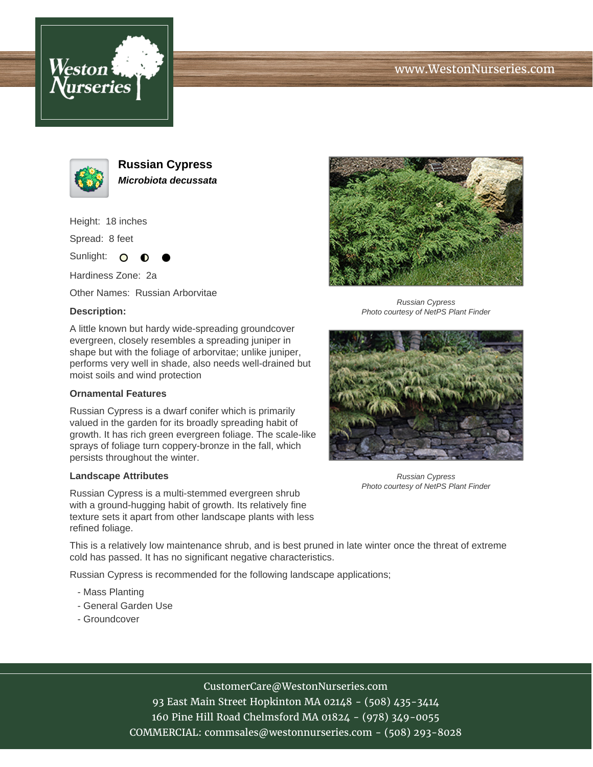





**Russian Cypress Microbiota decussata**

Height: 18 inches

Spread: 8 feet

Sunlight: O

Hardiness Zone: 2a

Other Names: Russian Arborvitae

## **Description:**

A little known but hardy wide-spreading groundcover evergreen, closely resembles a spreading juniper in shape but with the foliage of arborvitae; unlike juniper, performs very well in shade, also needs well-drained but moist soils and wind protection

## **Ornamental Features**

Russian Cypress is a dwarf conifer which is primarily valued in the garden for its broadly spreading habit of growth. It has rich green evergreen foliage. The scale-like sprays of foliage turn coppery-bronze in the fall, which persists throughout the winter.

## **Landscape Attributes**

Russian Cypress is a multi-stemmed evergreen shrub with a ground-hugging habit of growth. Its relatively fine texture sets it apart from other landscape plants with less refined foliage.

This is a relatively low maintenance shrub, and is best pruned in late winter once the threat of extreme cold has passed. It has no significant negative characteristics.

Russian Cypress is recommended for the following landscape applications;

- Mass Planting
- General Garden Use
- Groundcover



Russian Cypress Photo courtesy of NetPS Plant Finder



Russian Cypress Photo courtesy of NetPS Plant Finder

CustomerCare@WestonNurseries.com 93 East Main Street Hopkinton MA 02148 - (508) 435-3414 160 Pine Hill Road Chelmsford MA 01824 - (978) 349-0055 COMMERCIAL: commsales@westonnurseries.com - (508) 293-8028